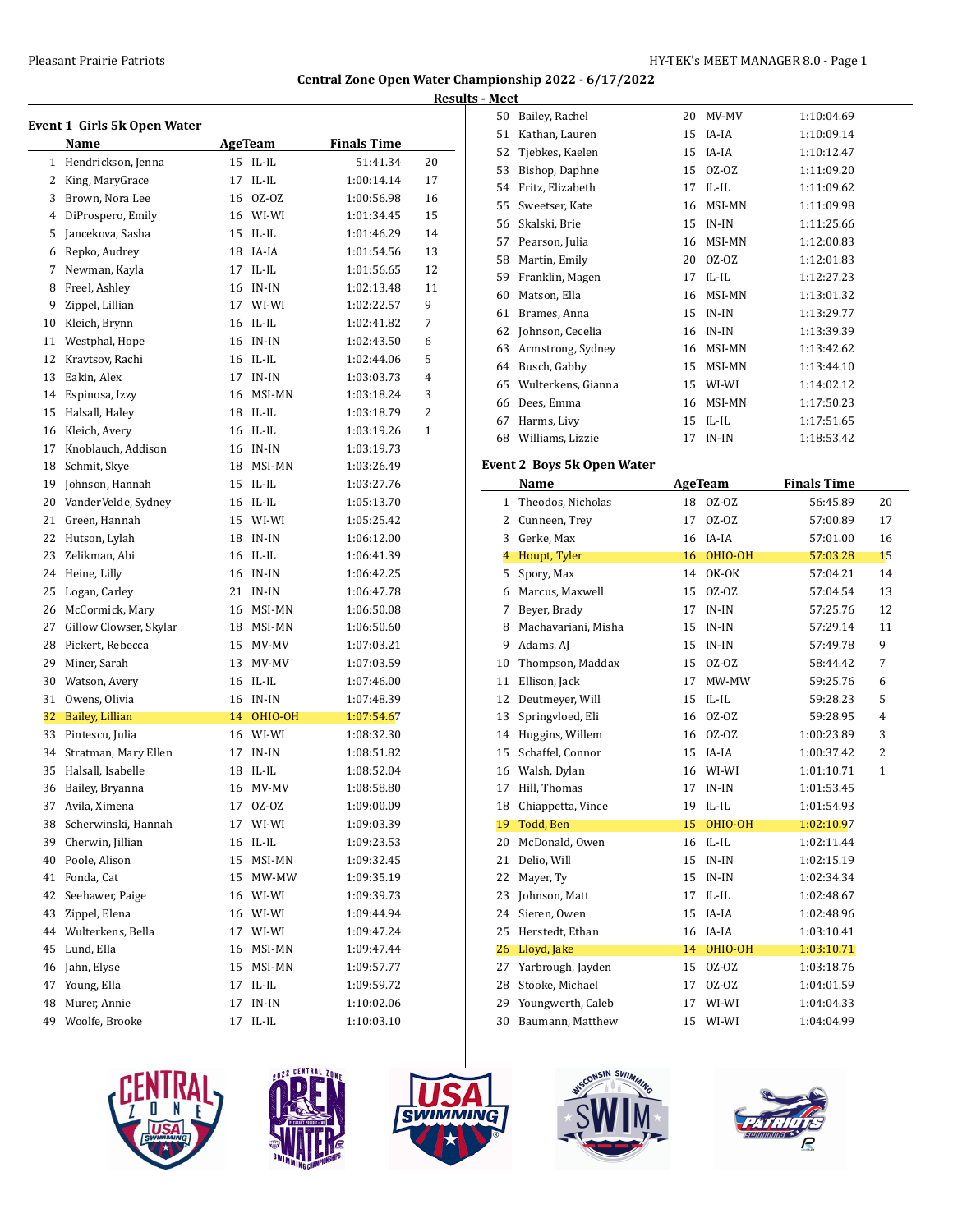# **Central Zone Open Water Championship 2022 - 6/17/2022 Results - Meet**

|    | Event 1 Girls 5k Open Water |    |                |                    |    |
|----|-----------------------------|----|----------------|--------------------|----|
|    | Name                        |    | <b>AgeTeam</b> | <b>Finals Time</b> |    |
| 1  | Hendrickson, Jenna          |    | 15 IL-IL       | 51:41.34           | 20 |
| 2  | King, MaryGrace             | 17 | $IL$ - $IL$    | 1:00:14.14         | 17 |
| 3  | Brown, Nora Lee             |    | 16 0Z-0Z       | 1:00:56.98         | 16 |
| 4  | DiProspero, Emily           |    | 16 WI-WI       | 1:01:34.45         | 15 |
| 5  | Jancekova, Sasha            |    | $15$ IL-IL     | 1:01:46.29         | 14 |
| 6  | Repko, Audrey               |    | 18 IA-IA       | 1:01:54.56         | 13 |
| 7  | Newman, Kayla               |    | 17 IL-IL       | 1:01:56.65         | 12 |
| 8  | Freel, Ashley               | 16 | IN-IN          | 1:02:13.48         | 11 |
| 9  | Zippel, Lillian             |    | 17 WI-WI       | 1:02:22.57         | 9  |
| 10 | Kleich, Brynn               |    | 16 IL-IL       | 1:02:41.82         | 7  |
| 11 | Westphal, Hope              |    | 16 IN-IN       | 1:02:43.50         | 6  |
| 12 | Kravtsov, Rachi             |    | 16 IL-IL       | 1:02:44.06         | 5  |
| 13 | Eakin, Alex                 | 17 | IN-IN          | 1:03:03.73         | 4  |
| 14 | Espinosa, Izzy              | 16 | MSI-MN         | 1:03:18.24         | 3  |
| 15 | Halsall, Haley              |    | 18 IL-IL       | 1:03:18.79         | 2  |
| 16 | Kleich, Avery               |    | 16 IL-IL       | 1:03:19.26         | 1  |
| 17 | Knoblauch, Addison          |    | 16 IN-IN       | 1:03:19.73         |    |
| 18 | Schmit, Skye                |    | 18 MSI-MN      | 1:03:26.49         |    |
| 19 | Johnson, Hannah             |    | 15 IL-IL       | 1:03:27.76         |    |
| 20 | VanderVelde, Sydney         |    | 16 IL-IL       | 1:05:13.70         |    |
| 21 | Green, Hannah               |    | 15 WI-WI       | 1:05:25.42         |    |
| 22 | Hutson, Lylah               | 18 | IN-IN          | 1:06:12.00         |    |
| 23 | Zelikman, Abi               |    | 16 IL-IL       | 1:06:41.39         |    |
| 24 | Heine, Lilly                |    | 16 IN-IN       | 1:06:42.25         |    |
| 25 | Logan, Carley               |    | 21 IN-IN       | 1:06:47.78         |    |
| 26 | McCormick, Mary             |    | 16 MSI-MN      | 1:06:50.08         |    |
| 27 | Gillow Clowser, Skylar      |    | 18 MSI-MN      | 1:06:50.60         |    |
| 28 | Pickert, Rebecca            |    | 15 MV-MV       | 1:07:03.21         |    |
| 29 | Miner, Sarah                | 13 | MV-MV          | 1:07:03.59         |    |
| 30 | Watson, Avery               |    | 16 IL-IL       | 1:07:46.00         |    |
| 31 | Owens, Olivia               |    | 16 IN-IN       | 1:07:48.39         |    |
| 32 | Bailey, Lillian             |    | 14 OHIO-OH     | 1:07:54.67         |    |
| 33 | Pintescu, Julia             |    | 16 WI-WI       | 1:08:32.30         |    |
| 34 | Stratman, Mary Ellen        | 17 | IN-IN          | 1:08:51.82         |    |
| 35 | Halsall, Isabelle           | 18 | $II - II$ .    | 1:08:52.04         |    |
| 36 | Bailey, Bryanna             | 16 | MV-MV          | 1:08:58.80         |    |
| 37 | Avila, Ximena               | 17 | 0Z-0Z          | 1:09:00.09         |    |
| 38 | Scherwinski, Hannah         | 17 | WI-WI          | 1:09:03.39         |    |
| 39 | Cherwin, Jillian            | 16 | IL-IL          | 1:09:23.53         |    |
| 40 | Poole, Alison               | 15 | MSI-MN         | 1:09:32.45         |    |
| 41 | Fonda, Cat                  | 15 | MW-MW          | 1:09:35.19         |    |
| 42 | Seehawer, Paige             | 16 | WI-WI          | 1:09:39.73         |    |
| 43 | Zippel, Elena               | 16 | WI-WI          | 1:09:44.94         |    |
| 44 | Wulterkens, Bella           | 17 | WI-WI          | 1:09:47.24         |    |
| 45 | Lund, Ella                  | 16 | MSI-MN         | 1:09:47.44         |    |
| 46 | Jahn, Elyse                 | 15 | MSI-MN         | 1:09:57.77         |    |
| 47 | Young, Ella                 | 17 | $IL$ - $IL$    | 1:09:59.72         |    |
| 48 | Murer, Annie                | 17 | $IN-IN$        | 1:10:02.06         |    |
| 49 | Woolfe, Brooke              | 17 | IL-IL          | 1:10:03.10         |    |

| MCC |                    |    |             |            |
|-----|--------------------|----|-------------|------------|
| 50  | Bailey, Rachel     | 20 | MV-MV       | 1:10:04.69 |
| 51  | Kathan, Lauren     | 15 | IA-IA       | 1:10:09.14 |
| 52  | Tjebkes, Kaelen    | 15 | IA-IA       | 1:10:12.47 |
| 53  | Bishop, Daphne     | 15 | 0Z-0Z       | 1:11:09.20 |
| 54  | Fritz, Elizabeth   | 17 | IL-IL       | 1:11:09.62 |
| 55  | Sweetser, Kate     | 16 | MSI-MN      | 1:11:09.98 |
| 56  | Skalski, Brie      | 15 | $IN-IN$     | 1:11:25.66 |
| 57  | Pearson, Julia     | 16 | MSI-MN      | 1:12:00.83 |
| 58  | Martin, Emily      | 20 | 0Z-0Z       | 1:12:01.83 |
| 59  | Franklin, Magen    | 17 | $IL$ - $IL$ | 1:12:27.23 |
| 60  | Matson, Ella       | 16 | MSI-MN      | 1:13:01.32 |
| 61  | Brames, Anna       | 15 | $IN-IN$     | 1:13:29.77 |
| 62  | Johnson, Cecelia   | 16 | $IN-IN$     | 1:13:39.39 |
| 63  | Armstrong, Sydney  | 16 | MSI-MN      | 1:13:42.62 |
| 64  | Busch, Gabby       | 15 | MSI-MN      | 1:13:44.10 |
| 65  | Wulterkens, Gianna | 15 | WI-WI       | 1:14:02.12 |
| 66  | Dees, Emma         | 16 | MSI-MN      | 1:17:50.23 |
| 67  | Harms, Livy        | 15 | $IL$ - $IL$ | 1:17:51.65 |
| 68  | Williams, Lizzie   | 17 | $IN-IN$     | 1:18:53.42 |

# **Event 2 Boys 5k Open Water**

|    | Name                |    | <b>AgeTeam</b> | <b>Finals Time</b> |                |
|----|---------------------|----|----------------|--------------------|----------------|
| 1  | Theodos, Nicholas   | 18 | $0Z-0Z$        | 56:45.89           | 20             |
| 2  | Cunneen, Trey       | 17 | $0Z-0Z$        | 57:00.89           | 17             |
| 3  | Gerke, Max          | 16 | IA-IA          | 57:01.00           | 16             |
| 4  | Houpt, Tyler        | 16 | OHIO-OH        | 57:03.28           | 15             |
| 5  | Spory, Max          | 14 | OK-OK          | 57:04.21           | 14             |
| 6  | Marcus, Maxwell     | 15 | $0Z-0Z$        | 57:04.54           | 13             |
| 7  | Beyer, Brady        | 17 | $IN-IN$        | 57:25.76           | 12             |
| 8  | Machavariani, Misha | 15 | $IN-IN$        | 57:29.14           | 11             |
| 9  | Adams, AJ           | 15 | $IN-IN$        | 57:49.78           | 9              |
| 10 | Thompson, Maddax    | 15 | $0Z-0Z$        | 58:44.42           | 7              |
| 11 | Ellison, Jack       | 17 | MW-MW          | 59:25.76           | 6              |
| 12 | Deutmeyer, Will     | 15 | $IL$ - $IL$    | 59:28.23           | 5              |
| 13 | Springvloed, Eli    | 16 | $0Z-0Z$        | 59:28.95           | $\overline{4}$ |
| 14 | Huggins, Willem     | 16 | $0Z-0Z$        | 1:00:23.89         | 3              |
| 15 | Schaffel, Connor    | 15 | IA-IA          | 1:00:37.42         | $\overline{2}$ |
| 16 | Walsh, Dylan        | 16 | WI-WI          | 1:01:10.71         | $\mathbf{1}$   |
| 17 | Hill, Thomas        | 17 | $IN-IN$        | 1:01:53.45         |                |
| 18 | Chiappetta, Vince   | 19 | IL-IL          | 1:01:54.93         |                |
| 19 | Todd, Ben           | 15 | OHIO-OH        | 1:02:10.97         |                |
| 20 | McDonald, Owen      | 16 | $IL$ - $IL$    | 1:02:11.44         |                |
| 21 | Delio, Will         | 15 | $IN-IN$        | 1:02:15.19         |                |
| 22 | Mayer, Ty           | 15 | $IN-IN$        | 1:02:34.34         |                |
| 23 | Johnson, Matt       | 17 | $IL$ - $IL$    | 1:02:48.67         |                |
| 24 | Sieren, Owen        | 15 | IA-IA          | 1:02:48.96         |                |
| 25 | Herstedt, Ethan     | 16 | IA-IA          | 1:03:10.41         |                |
| 26 | Lloyd, Jake         | 14 | OHIO-OH        | 1:03:10.71         |                |
| 27 | Yarbrough, Jayden   | 15 | $0Z-0Z$        | 1:03:18.76         |                |
| 28 | Stooke, Michael     | 17 | 0Z-0Z          | 1:04:01.59         |                |
| 29 | Youngwerth, Caleb   | 17 | WI-WI          | 1:04:04.33         |                |
| 30 | Baumann, Matthew    | 15 | WI-WI          | 1:04:04.99         |                |
|    |                     |    |                |                    |                |









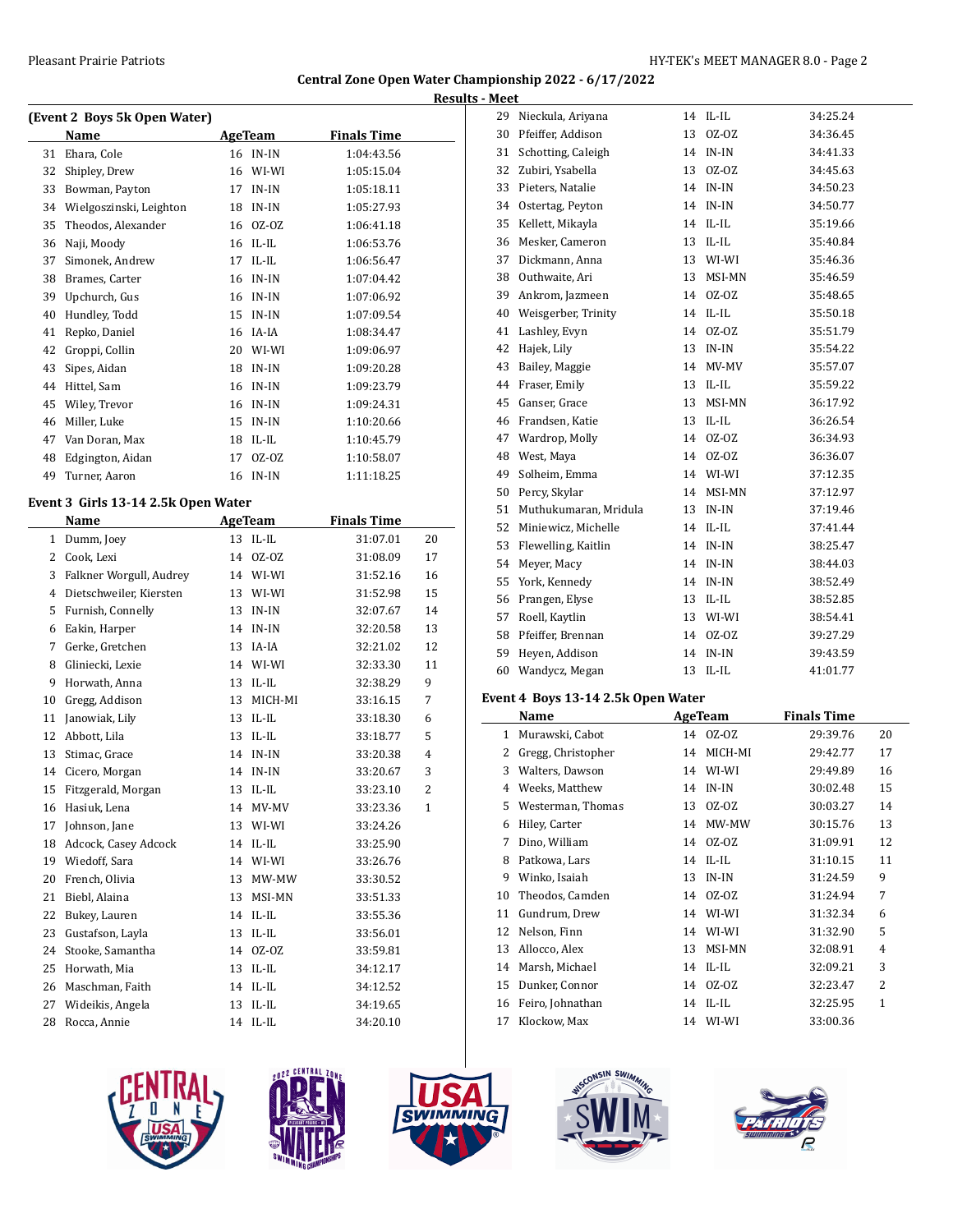### **Central Zone Open Water Championship 2022 - 6/17/2022 Results - Meet**

|    | (Event 2 Boys 5k Open Water) |    |             |                    |
|----|------------------------------|----|-------------|--------------------|
|    | Name                         |    | AgeTeam     | <b>Finals Time</b> |
| 31 | Ehara, Cole                  | 16 | IN-IN       | 1:04:43.56         |
| 32 | Shipley, Drew                | 16 | WI-WI       | 1:05:15.04         |
| 33 | Bowman, Payton               | 17 | IN-IN       | 1:05:18.11         |
| 34 | Wielgoszinski, Leighton      | 18 | $IN-IN$     | 1:05:27.93         |
| 35 | Theodos, Alexander           | 16 | $0Z-0Z$     | 1:06:41.18         |
| 36 | Naji, Moody                  | 16 | $IL$ - $IL$ | 1:06:53.76         |
| 37 | Simonek, Andrew              | 17 | $II - II$   | 1:06:56.47         |
| 38 | Brames, Carter               | 16 | IN-IN       | 1:07:04.42         |
| 39 | Upchurch, Gus                | 16 | IN-IN       | 1:07:06.92         |
| 40 | Hundley, Todd                | 15 | IN-IN       | 1:07:09.54         |
| 41 | Repko, Daniel                | 16 | IA-IA       | 1:08:34.47         |
| 42 | Groppi, Collin               | 20 | WI-WI       | 1:09:06.97         |
| 43 | Sipes, Aidan                 | 18 | IN-IN       | 1:09:20.28         |
| 44 | Hittel, Sam                  | 16 | $IN-IN$     | 1:09:23.79         |
| 45 | Wiley, Trevor                | 16 | IN-IN       | 1:09:24.31         |
| 46 | Miller, Luke                 | 15 | IN-IN       | 1:10:20.66         |
| 47 | Van Doran, Max               | 18 | $IL$ - $IL$ | 1:10:45.79         |
| 48 | Edgington, Aidan             | 17 | $0Z-0Z$     | 1:10:58.07         |
| 49 | Turner, Aaron                | 16 | $IN-IN$     | 1:11:18.25         |
|    |                              |    |             |                    |

### **Event 3 Girls 13-14 2.5k Open Water**

 $\equiv$ 

|    | Name                    | <b>AgeTeam</b> |             | <b>Finals Time</b> |              |
|----|-------------------------|----------------|-------------|--------------------|--------------|
| 1  | Dumm, Joey              | 13             | $IL$ - $IL$ | 31:07.01           | 20           |
| 2  | Cook, Lexi              | 14             | $0Z-0Z$     | 31:08.09           | 17           |
| 3  | Falkner Worgull, Audrey | 14             | WI-WI       | 31:52.16           | 16           |
| 4  | Dietschweiler, Kiersten | 13             | WI-WI       | 31:52.98           | 15           |
| 5  | Furnish, Connelly       | 13             | $IN-IN$     | 32:07.67           | 14           |
| 6  | Eakin, Harper           | 14             | $IN-IN$     | 32:20.58           | 13           |
| 7  | Gerke, Gretchen         | 13             | IA-IA       | 32:21.02           | 12           |
| 8  | Gliniecki, Lexie        | 14             | WI-WI       | 32:33.30           | 11           |
| 9  | Horwath, Anna           | 13             | $IL$ - $IL$ | 32:38.29           | 9            |
| 10 | Gregg, Addison          | 13             | MICH-MI     | 33:16.15           | 7            |
| 11 | Janowiak, Lily          | 13             | $IL$ - $IL$ | 33:18.30           | 6            |
| 12 | Abbott, Lila            | 13             | $IL$ - $IL$ | 33:18.77           | 5            |
| 13 | Stimac, Grace           | 14             | $IN-IN$     | 33:20.38           | 4            |
| 14 | Cicero, Morgan          | 14             | $IN-IN$     | 33:20.67           | 3            |
| 15 | Fitzgerald, Morgan      | 13             | $IL$ - $IL$ | 33:23.10           | 2            |
| 16 | Hasiuk, Lena            | 14             | MV-MV       | 33:23.36           | $\mathbf{1}$ |
| 17 | Johnson, Jane           | 13             | WI-WI       | 33:24.26           |              |
| 18 | Adcock, Casey Adcock    | 14             | $IL$ - $IL$ | 33:25.90           |              |
| 19 | Wiedoff, Sara           | 14             | WI-WI       | 33:26.76           |              |
| 20 | French, Olivia          | 13             | MW-MW       | 33:30.52           |              |
| 21 | Biebl, Alaina           | 13             | MSI-MN      | 33:51.33           |              |
| 22 | Bukey, Lauren           | 14             | $IL$ - $IL$ | 33:55.36           |              |
| 23 | Gustafson, Layla        | 13             | $IL$ - $IL$ | 33:56.01           |              |
| 24 | Stooke, Samantha        | 14             | $0Z-0Z$     | 33:59.81           |              |
| 25 | Horwath, Mia            | 13             | $IL$ - $IL$ | 34:12.17           |              |
| 26 | Maschman, Faith         | 14             | $IL$ - $IL$ | 34:12.52           |              |
| 27 | Wideikis, Angela        | 13             | $IL$ - $IL$ | 34:19.65           |              |
| 28 | Rocca, Annie            | 14             | $IL$ - $IL$ | 34:20.10           |              |

|    | 29 Nieckula, Ariyana  |    | 14 IL-IL    | 34:25.24 |
|----|-----------------------|----|-------------|----------|
| 30 | Pfeiffer, Addison     | 13 | $0Z-0Z$     | 34:36.45 |
| 31 | Schotting, Caleigh    | 14 | $IN-IN$     | 34:41.33 |
| 32 | Zubiri. Ysabella      | 13 | $0Z-0Z$     | 34:45.63 |
| 33 | Pieters, Natalie      | 14 | $IN-IN$     | 34:50.23 |
| 34 | Ostertag, Peyton      | 14 | $IN-IN$     | 34:50.77 |
| 35 | Kellett, Mikayla      |    | 14 IL-IL    | 35:19.66 |
| 36 | Mesker, Cameron       | 13 | $IL$ - $IL$ | 35:40.84 |
| 37 | Dickmann, Anna        | 13 | WI-WI       | 35:46.36 |
| 38 | Outhwaite, Ari        | 13 | MSI-MN      | 35:46.59 |
| 39 | Ankrom, Jazmeen       | 14 | $0Z-0Z$     | 35:48.65 |
| 40 | Weisgerber, Trinity   | 14 | $IL$ - $IL$ | 35:50.18 |
| 41 | Lashley, Evyn         | 14 | $0Z-0Z$     | 35:51.79 |
| 42 | Hajek, Lily           | 13 | $IN-IN$     | 35:54.22 |
| 43 | Bailey, Maggie        | 14 | MV-MV       | 35:57.07 |
| 44 | Fraser, Emily         | 13 | $IL$ - $IL$ | 35:59.22 |
| 45 | Ganser, Grace         | 13 | MSI-MN      | 36:17.92 |
| 46 | Frandsen, Katie       | 13 | $IL$ - $IL$ | 36:26.54 |
| 47 | Wardrop, Molly        | 14 | $0Z-0Z$     | 36:34.93 |
| 48 | West, Maya            | 14 | 0Z-0Z       | 36:36.07 |
| 49 | Solheim, Emma         | 14 | WI-WI       | 37:12.35 |
| 50 | Percy, Skylar         | 14 | MSI-MN      | 37:12.97 |
| 51 | Muthukumaran, Mridula | 13 | IN-IN       | 37:19.46 |
| 52 | Miniewicz, Michelle   | 14 | $IL$ - $IL$ | 37:41.44 |
| 53 | Flewelling, Kaitlin   | 14 | $IN-IN$     | 38:25.47 |
| 54 | Meyer, Macy           | 14 | $IN-IN$     | 38:44.03 |
| 55 | York, Kennedy         | 14 | $IN-IN$     | 38:52.49 |
| 56 | Prangen, Elyse        | 13 | $IL$ - $IL$ | 38:52.85 |
| 57 | Roell, Kaytlin        | 13 | WI-WI       | 38:54.41 |
| 58 | Pfeiffer, Brennan     | 14 | $OZ-OZ$     | 39:27.29 |
| 59 | Heyen, Addison        | 14 | $IN-IN$     | 39:43.59 |
| 60 | Wandycz, Megan        | 13 | $IL$ - $IL$ | 41:01.77 |
|    |                       |    |             |          |

## **Event 4 Boys 13-14 2.5k Open Water**

|    | Name               |    | AgeTeam     | <b>Finals Time</b> |    |
|----|--------------------|----|-------------|--------------------|----|
| 1  | Murawski, Cabot    |    | 14 0Z-0Z    | 29:39.76           | 20 |
| 2  | Gregg, Christopher | 14 | MICH-MI     | 29:42.77           | 17 |
| 3  | Walters, Dawson    | 14 | WI-WI       | 29:49.89           | 16 |
| 4  | Weeks, Matthew     | 14 | $IN-IN$     | 30:02.48           | 15 |
| 5  | Westerman, Thomas  | 13 | OZ-OZ       | 30:03.27           | 14 |
| 6  | Hiley, Carter      | 14 | MW-MW       | 30:15.76           | 13 |
| 7  | Dino, William      | 14 | OZ-OZ       | 31:09.91           | 12 |
| 8  | Patkowa, Lars      | 14 | $IL$ - $IL$ | 31:10.15           | 11 |
| 9  | Winko, Isaiah      | 13 | IN-IN       | 31:24.59           | 9  |
| 10 | Theodos, Camden    | 14 | OZ-OZ       | 31:24.94           | 7  |
| 11 | Gundrum, Drew      | 14 | WI-WI       | 31:32.34           | 6  |
| 12 | Nelson, Finn       | 14 | WI-WI       | 31:32.90           | 5  |
| 13 | Allocco, Alex      | 13 | MSI-MN      | 32:08.91           | 4  |
| 14 | Marsh, Michael     | 14 | IL-IL       | 32:09.21           | 3  |
| 15 | Dunker, Connor     | 14 | $0Z-0Z$     | 32:23.47           | 2  |
| 16 | Feiro, Johnathan   | 14 | $IL$ - $IL$ | 32:25.95           | 1  |
| 17 | Klockow, Max       | 14 | WI-WI       | 33:00.36           |    |
|    |                    |    |             |                    |    |









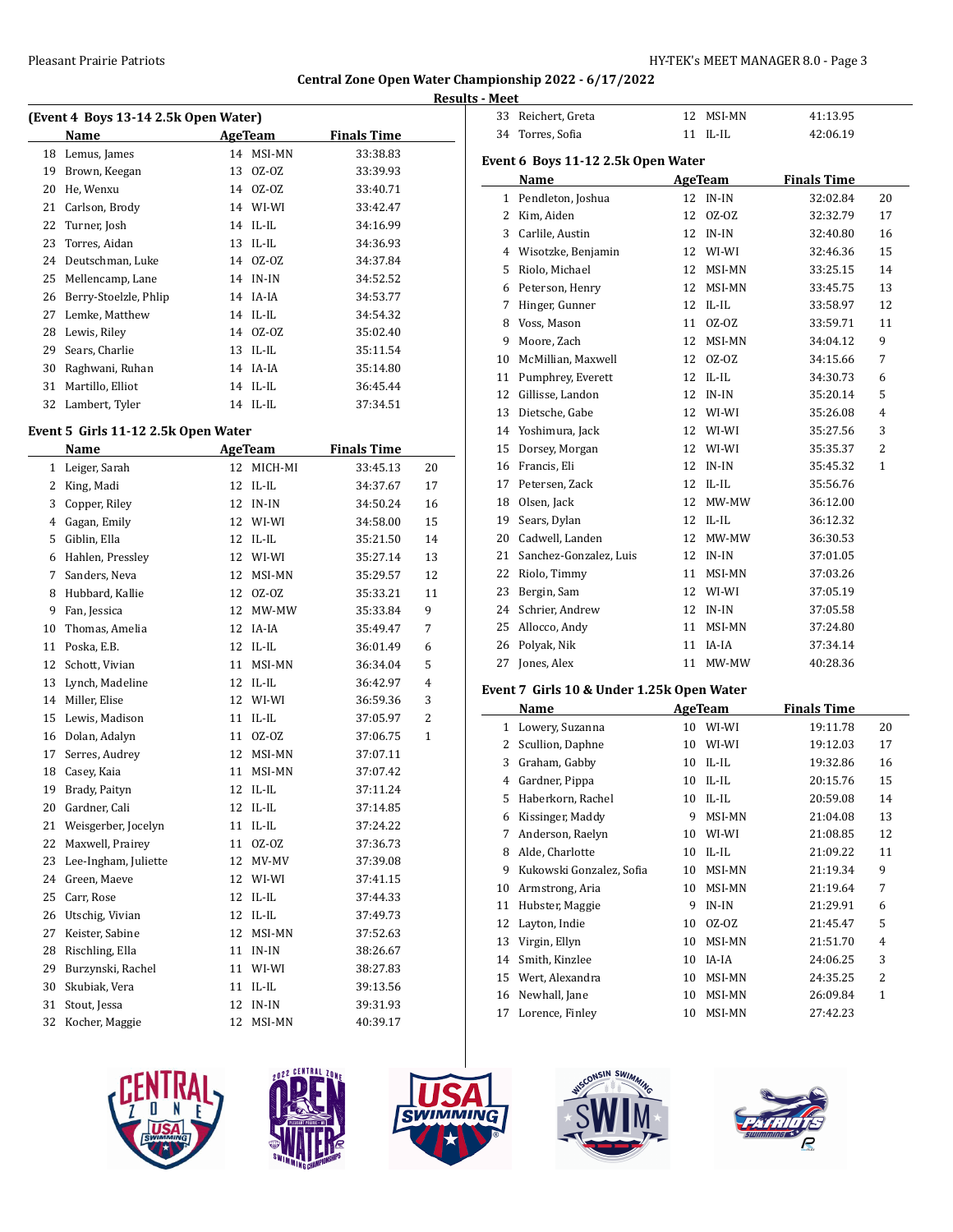$\overline{a}$ 

 $\overline{a}$ 

# **Central Zone Open Water Championship 2022 - 6/17/2022**

|    | (Event 4 Boys 13-14 2.5k Open Water) |    |            |                    |  |
|----|--------------------------------------|----|------------|--------------------|--|
|    | Name                                 |    | AgeTeam    | <b>Finals Time</b> |  |
| 18 | Lemus, James                         | 14 | MSI-MN     | 33:38.83           |  |
| 19 | Brown, Keegan                        | 13 | OZ-OZ      | 33:39.93           |  |
| 20 | He, Wenxu                            | 14 | OZ-OZ      | 33:40.71           |  |
| 21 | Carlson, Brody                       |    | 14 WI-WI   | 33:42.47           |  |
| 22 | Turner, Josh                         |    | $14$ IL-IL | 34:16.99           |  |
| 23 | Torres, Aidan                        | 13 | IL-IL      | 34:36.93           |  |
| 24 | Deutschman, Luke                     |    | 14 0Z-0Z   | 34:37.84           |  |
| 25 | Mellencamp, Lane                     | 14 | IN-IN      | 34:52.52           |  |
| 26 | Berry-Stoelzle, Phlip                |    | 14 IA-IA   | 34:53.77           |  |
| 27 | Lemke, Matthew                       |    | 14 IL-IL   | 34:54.32           |  |
| 28 | Lewis, Riley                         |    | 14 0Z-0Z   | 35:02.40           |  |
| 29 | Sears, Charlie                       | 13 | IL-IL      | 35:11.54           |  |
| 30 | Raghwani, Ruhan                      | 14 | IA-IA      | 35:14.80           |  |
| 31 | Martillo, Elliot                     | 14 | IL-IL      | 36:45.44           |  |
| 32 | Lambert, Tyler                       |    | 14 IL-IL   | 37:34.51           |  |

### **Event 5 Girls 11-12 2.5k Open Water**

|    | Name                 | <b>AgeTeam</b> |             | <b>Finals Time</b> |                |
|----|----------------------|----------------|-------------|--------------------|----------------|
|    | 1 Leiger, Sarah      | 12             | MICH-MI     | 33:45.13           | 20             |
| 2  | King, Madi           | 12             | $IL$ - $IL$ | 34:37.67           | 17             |
| 3  | Copper, Riley        | 12             | $IN-IN$     | 34:50.24           | 16             |
| 4  | Gagan, Emily         | 12             | WI-WI       | 34:58.00           | 15             |
| 5  | Giblin, Ella         | 12             | $IL$ - $IL$ | 35:21.50           | 14             |
| 6  | Hahlen, Pressley     | 12             | WI-WI       | 35:27.14           | 13             |
| 7  | Sanders, Neva        | 12             | MSI-MN      | 35:29.57           | 12             |
| 8  | Hubbard, Kallie      | 12             | $0Z-0Z$     | 35:33.21           | 11             |
| 9  | Fan, Jessica         | 12             | MW-MW       | 35:33.84           | 9              |
| 10 | Thomas, Amelia       | 12             | IA-IA       | 35:49.47           | 7              |
| 11 | Poska, E.B.          | 12             | $IL$ - $IL$ | 36:01.49           | 6              |
| 12 | Schott, Vivian       | 11             | MSI-MN      | 36:34.04           | 5              |
| 13 | Lynch, Madeline      | 12             | $IL$ - $IL$ | 36:42.97           | $\overline{4}$ |
| 14 | Miller, Elise        | 12             | WI-WI       | 36:59.36           | 3              |
| 15 | Lewis, Madison       | 11             | $IL$ - $IL$ | 37:05.97           | $\overline{c}$ |
| 16 | Dolan, Adalyn        | 11             | $0Z-0Z$     | 37:06.75           | $\mathbf{1}$   |
| 17 | Serres, Audrey       | 12             | MSI-MN      | 37:07.11           |                |
| 18 | Casey, Kaia          | 11             | MSI-MN      | 37:07.42           |                |
| 19 | Brady, Paityn        | 12             | $IL$ - $IL$ | 37:11.24           |                |
| 20 | Gardner, Cali        | 12             | $IL$ - $IL$ | 37:14.85           |                |
| 21 | Weisgerber, Jocelyn  | 11             | $IL$ - $IL$ | 37:24.22           |                |
| 22 | Maxwell, Prairey     | 11             | $0Z-0Z$     | 37:36.73           |                |
| 23 | Lee-Ingham, Juliette | 12             | MV-MV       | 37:39.08           |                |
| 24 | Green, Maeve         | 12             | WI-WI       | 37:41.15           |                |
| 25 | Carr, Rose           | 12             | $IL$ - $IL$ | 37:44.33           |                |
| 26 | Utschig, Vivian      | 12             | $IL$ - $IL$ | 37:49.73           |                |
| 27 | Keister, Sabine      | 12             | MSI-MN      | 37:52.63           |                |
| 28 | Rischling, Ella      | 11             | $IN-IN$     | 38:26.67           |                |
| 29 | Burzynski, Rachel    | 11             | WI-WI       | 38:27.83           |                |
| 30 | Skubiak, Vera        | 11             | $IL$ - $IL$ | 39:13.56           |                |
| 31 | Stout, Jessa         | 12             | $IN-IN$     | 39:31.93           |                |
| 32 | Kocher, Maggie       | 12             | MSI-MN      | 40:39.17           |                |
|    |                      |                |             |                    |                |

|              | <b>Results - Meet</b> |                                           |    |                |                    |    |
|--------------|-----------------------|-------------------------------------------|----|----------------|--------------------|----|
|              | 33                    | Reichert, Greta                           |    | 12 MSI-MN      | 41:13.95           |    |
|              | 34                    | Torres, Sofia                             |    | 11 IL-IL       | 42:06.19           |    |
|              |                       | Event 6 Boys 11-12 2.5k Open Water        |    |                |                    |    |
|              |                       | Name                                      |    | AgeTeam        | <b>Finals Time</b> |    |
|              |                       | 1 Pendleton, Joshua                       |    | 12 IN-IN       | 32:02.84           | 20 |
|              | 2                     | Kim, Aiden                                | 12 | $0Z-0Z$        | 32:32.79           | 17 |
|              | 3                     | Carlile, Austin                           | 12 | IN-IN          | 32:40.80           | 16 |
|              | 4                     | Wisotzke, Benjamin                        | 12 | WI-WI          | 32:46.36           | 15 |
|              | 5                     | Riolo, Michael                            | 12 | MSI-MN         | 33:25.15           | 14 |
|              | 6                     | Peterson, Henry                           | 12 | MSI-MN         | 33:45.75           | 13 |
|              | 7                     | Hinger, Gunner                            | 12 | IL-IL          | 33:58.97           | 12 |
|              | 8                     | Voss, Mason                               | 11 | $0Z-0Z$        | 33:59.71           | 11 |
|              | 9                     | Moore, Zach                               | 12 | MSI-MN         | 34:04.12           | 9  |
|              | 10                    | McMillian, Maxwell                        | 12 | $OZ-OZ$        | 34:15.66           | 7  |
|              | 11                    | Pumphrey, Everett                         | 12 | $IL$ - $IL$    | 34:30.73           | 6  |
|              | 12                    | Gillisse, Landon                          | 12 | IN-IN          | 35:20.14           | 5  |
|              | 13                    | Dietsche, Gabe                            | 12 | WI-WI          | 35:26.08           | 4  |
|              | 14                    | Yoshimura, Jack                           | 12 | WI-WI          | 35:27.56           | 3  |
|              | 15                    | Dorsey, Morgan                            | 12 | WI-WI          | 35:35.37           | 2  |
| 20           | 16                    | Francis, Eli                              |    | 12 IN-IN       | 35:45.32           | 1  |
| 17           | 17                    | Petersen, Zack                            |    | 12 IL-IL       | 35:56.76           |    |
| 16           | 18                    | Olsen, Jack                               | 12 | MW-MW          | 36:12.00           |    |
| 15           | 19                    | Sears, Dylan                              | 12 | $IL$ - $IL$    | 36:12.32           |    |
| 14           | 20                    | Cadwell, Landen                           | 12 | MW-MW          | 36:30.53           |    |
| 13           | 21                    | Sanchez-Gonzalez, Luis                    | 12 | IN-IN          | 37:01.05           |    |
| 12           | 22                    | Riolo, Timmy                              | 11 | MSI-MN         | 37:03.26           |    |
| 11           | 23                    | Bergin, Sam                               |    | 12 WI-WI       | 37:05.19           |    |
| 9            | 24                    | Schrier, Andrew                           |    | 12 IN-IN       | 37:05.58           |    |
| 7            | 25                    | Allocco, Andy                             | 11 | MSI-MN         | 37:24.80           |    |
| 6            | 26                    | Polyak, Nik                               | 11 | IA-IA          | 37:34.14           |    |
| 5            | 27                    | Jones, Alex                               | 11 | MW-MW          | 40:28.36           |    |
| 4            |                       | Event 7 Girls 10 & Under 1.25k Open Water |    |                |                    |    |
| 3            |                       | Name                                      |    | <b>AgeTeam</b> | <b>Finals Time</b> |    |
| <sup>1</sup> |                       |                                           |    |                |                    |    |

|              | Name                     |    | AgeTeam     | <b>Finals Time</b> |                          |
|--------------|--------------------------|----|-------------|--------------------|--------------------------|
| $\mathbf{1}$ | Lowery, Suzanna          | 10 | WI-WI       | 19:11.78           | 20                       |
| 2            | Scullion, Daphne         | 10 | WI-WI       | 19:12.03           | 17                       |
| 3            | Graham, Gabby            | 10 | $IL$ - $IL$ | 19:32.86           | 16                       |
| 4            | Gardner, Pippa           | 10 | $IL$ - $IL$ | 20:15.76           | 15                       |
| 5            | Haberkorn, Rachel        | 10 | IL-IL       | 20:59.08           | 14                       |
| 6            | Kissinger, Maddy         | 9  | MSI-MN      | 21:04.08           | 13                       |
| 7            | Anderson, Raelyn         | 10 | WI-WI       | 21:08.85           | 12                       |
| 8            | Alde, Charlotte          | 10 | $IL$ - $IL$ | 21:09.22           | 11                       |
| 9            | Kukowski Gonzalez, Sofia | 10 | MSI-MN      | 21:19.34           | 9                        |
| 10           | Armstrong, Aria          | 10 | MSI-MN      | 21:19.64           | 7                        |
| 11           | Hubster, Maggie          | 9  | $IN-IN$     | 21:29.91           | 6                        |
| 12           | Layton, Indie            | 10 | $0Z-0Z$     | 21:45.47           | 5                        |
| 13           | Virgin, Ellyn            | 10 | MSI-MN      | 21:51.70           | 4                        |
| 14           | Smith, Kinzlee           | 10 | IA-IA       | 24:06.25           | 3                        |
| 15           | Wert, Alexandra          | 10 | MSI-MN      | 24:35.25           | $\overline{\mathcal{L}}$ |
| 16           | Newhall, Jane            | 10 | MSI-MN      | 26:09.84           | 1                        |
| 17           | Lorence, Finley          | 10 | MSI-MN      | 27:42.23           |                          |